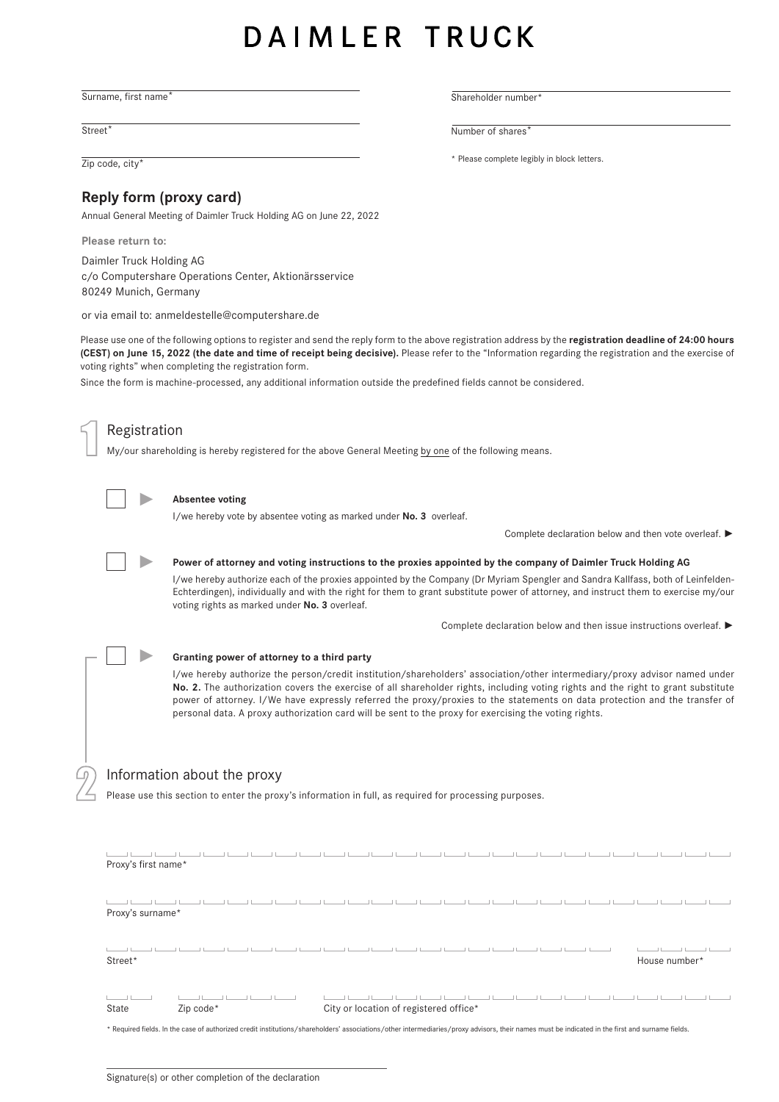# DAIMLER TRUCK

Surname, first name\*

Street<sup>\*</sup>

# **Reply form (proxy card)**

Annual General Meeting of Daimler Truck Holding AG on June 22, 2022

**Please return to:**

Daimler Truck Holding AG c/o Computershare Operations Center, Aktionärsservice 80249 Munich, Germany

or via email to: anmeldestelle@computershare.de

Please use one of the following options to register and send the reply form to the above registration address by the **registration deadline of 24:00 hours (CEST) on June 15, 2022 (the date and time of receipt being decisive).** Please refer to the "Information regarding the registration and the exercise of voting rights" when completing the registration form.

Since the form is machine-processed, any additional information outside the predefined fields cannot be considered.



2

Registration

My/our shareholding is hereby registered for the above General Meeting by one of the following means.



#### **Absentee voting**

I/we hereby vote by absentee voting as marked under **No. 3** overleaf.

Complete declaration below and then vote overleaf. **►**



## **Power of attorney and voting instructions to the proxies appointed by the company of Daimler Truck Holding AG**

I/we hereby authorize each of the proxies appointed by the Company (Dr Myriam Spengler and Sandra Kallfass, both of Leinfelden-Echterdingen), individually and with the right for them to grant substitute power of attorney, and instruct them to exercise my/our voting rights as marked under **No. 3** overleaf.

Complete declaration below and then issue instructions overleaf. **►**

**► Granting power of attorney to a third party**

I/we hereby authorize the person/credit institution/shareholders' association/other intermediary/proxy advisor named under **No. 2.** The authorization covers the exercise of all shareholder rights, including voting rights and the right to grant substitute power of attorney. I/We have expressly referred the proxy/proxies to the statements on data protection and the transfer of personal data. A proxy authorization card will be sent to the proxy for exercising the voting rights.

# Information about the proxy

Please use this section to enter the proxy's information in full, as required for processing purposes.

| Proxy's first name*                                                                                                                                                                             |           |  |  |  |  |                                        |  |  |  |  |               |  |
|-------------------------------------------------------------------------------------------------------------------------------------------------------------------------------------------------|-----------|--|--|--|--|----------------------------------------|--|--|--|--|---------------|--|
| Proxy's surname*                                                                                                                                                                                |           |  |  |  |  |                                        |  |  |  |  |               |  |
| Street*                                                                                                                                                                                         |           |  |  |  |  |                                        |  |  |  |  | House number* |  |
| State                                                                                                                                                                                           | Zip code* |  |  |  |  | City or location of registered office* |  |  |  |  |               |  |
| * Required fields. In the case of authorized credit institutions/shareholders' associations/other intermediaries/proxy advisors, their names must be indicated in the first and surname fields. |           |  |  |  |  |                                        |  |  |  |  |               |  |

Shareholder number

 $D^2$  defined to simpler the simpler  $D^2$  defined to simpler  $D^2$ Number of shares<sup>\*</sup>

Zip code, city\* **Example 2** is a set of  $\overline{2}$  and  $\overline{2}$  is the complete legibly in block letters.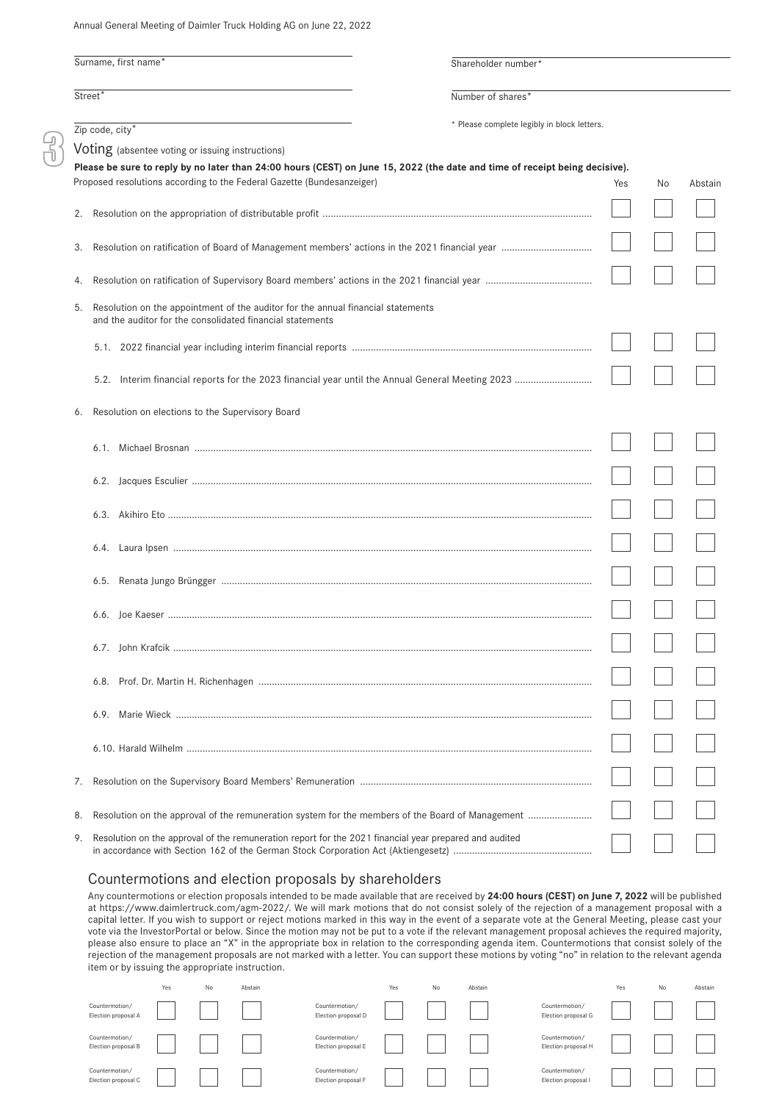Annual General Meeting of Daimler Truck Holding AG on June 22, 2022

|                     |                                                                                                                                               |  | Shareholder number*                         |     |    |         |
|---------------------|-----------------------------------------------------------------------------------------------------------------------------------------------|--|---------------------------------------------|-----|----|---------|
|                     | Surname, first name*                                                                                                                          |  |                                             |     |    |         |
| Street <sup>*</sup> |                                                                                                                                               |  |                                             |     |    |         |
|                     | $\overline{Zip code, city* }$                                                                                                                 |  | * Please complete legibly in block letters. |     |    |         |
|                     | Voting (absentee voting or issuing instructions)                                                                                              |  |                                             |     |    |         |
|                     | Please be sure to reply by no later than 24:00 hours (CEST) on June 15, 2022 (the date and time of receipt being decisive).                   |  |                                             |     |    |         |
|                     | Proposed resolutions according to the Federal Gazette (Bundesanzeiger)                                                                        |  |                                             | Yes | No | Abstain |
| 2.                  |                                                                                                                                               |  |                                             |     |    |         |
| 3.                  |                                                                                                                                               |  |                                             |     |    |         |
| 4.                  |                                                                                                                                               |  |                                             |     |    |         |
| 5.                  | Resolution on the appointment of the auditor for the annual financial statements<br>and the auditor for the consolidated financial statements |  |                                             |     |    |         |
|                     |                                                                                                                                               |  |                                             |     |    |         |
|                     |                                                                                                                                               |  |                                             |     |    |         |
| 6.                  | Resolution on elections to the Supervisory Board                                                                                              |  |                                             |     |    |         |
|                     |                                                                                                                                               |  |                                             |     |    |         |
|                     |                                                                                                                                               |  |                                             |     |    |         |
|                     |                                                                                                                                               |  |                                             |     |    |         |
|                     |                                                                                                                                               |  |                                             |     |    |         |
|                     |                                                                                                                                               |  |                                             |     |    |         |
|                     |                                                                                                                                               |  |                                             |     |    |         |
|                     |                                                                                                                                               |  |                                             |     |    |         |
|                     |                                                                                                                                               |  |                                             |     |    |         |
|                     |                                                                                                                                               |  |                                             |     |    |         |
|                     |                                                                                                                                               |  |                                             |     |    |         |
| 7.                  |                                                                                                                                               |  |                                             |     |    |         |
| 8.                  |                                                                                                                                               |  |                                             |     |    |         |
| 9.                  | Resolution on the approval of the remuneration report for the 2021 financial year prepared and audited                                        |  |                                             |     |    |         |

## Countermotions and election proposals by shareholders

Any countermotions or election proposals intended to be made available that are received by **24:00 hours (CEST) on June 7, 2022** will be published at https://www.daimlertruck.com/agm-2022/. We will mark motions that do not consist solely of the rejection of a management proposal with a capital letter. If you wish to support or reject motions marked in this way in the event of a separate vote at the General Meeting, please cast your vote via the InvestorPortal or below. Since the motion may not be put to a vote if the relevant management proposal achieves the required majority, please also ensure to place an "X" in the appropriate box in relation to the corresponding agenda item. Countermotions that consist solely of the rejection of the management proposals are not marked with a letter. You can support these motions by voting "no" in relation to the relevant agenda item or by issuing the appropriate instruction.

|                                       | Yes | No | Abstain |                                       | Yes | No | Abstain |                                       | Yes | No | Abstain |
|---------------------------------------|-----|----|---------|---------------------------------------|-----|----|---------|---------------------------------------|-----|----|---------|
| Countermotion/<br>Election proposal A |     |    |         | Countermotion/<br>Election proposal D |     |    |         | Countermotion/<br>Election proposal G |     |    |         |
| Countermotion/<br>Election proposal B |     |    |         | Countermotion/<br>Election proposal E |     |    |         | Countermotion/<br>Election proposal H |     |    |         |
| Countermotion/<br>Election proposal C |     |    |         | Countermotion/<br>Election proposal F |     |    |         | Countermotion/<br>Election proposal I |     |    |         |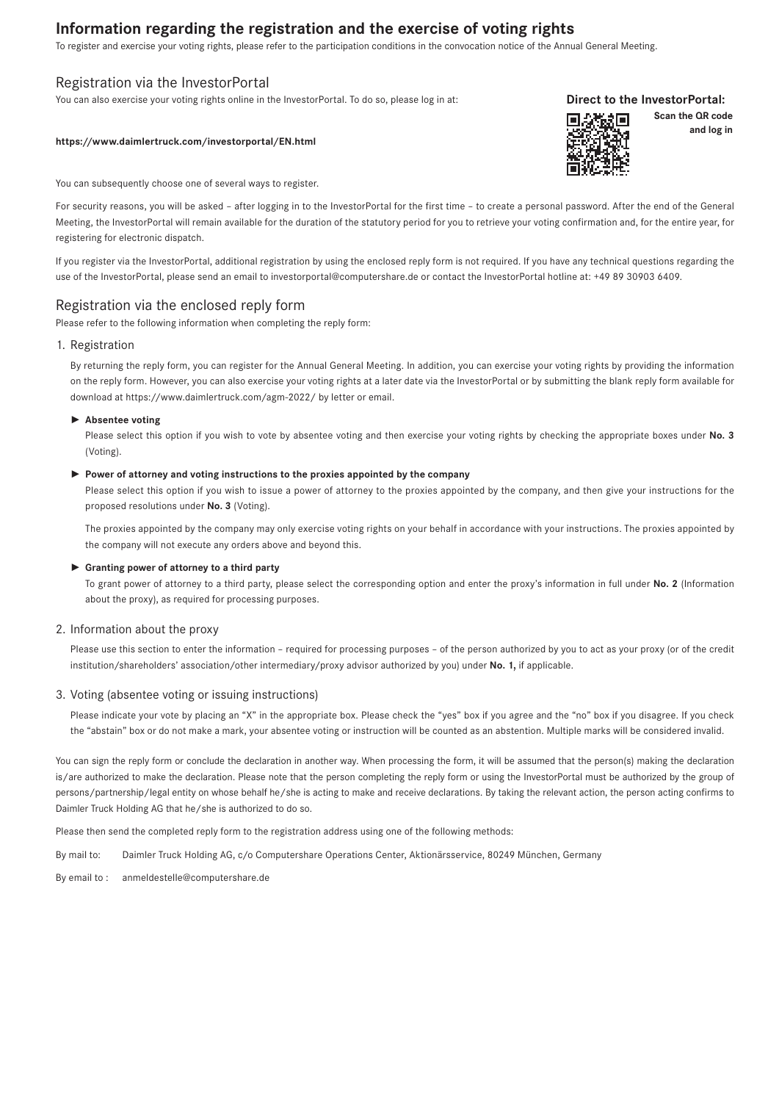# **Information regarding the registration and the exercise of voting rights**

To register and exercise your voting rights, please refer to the participation conditions in the convocation notice of the Annual General Meeting.

# Registration via the InvestorPortal

You can also exercise your voting rights online in the InvestorPortal. To do so, please log in at:

#### **https://www.daimlertruck.com/investorportal/EN.html**

You can subsequently choose one of several ways to register.

For security reasons, you will be asked – after logging in to the InvestorPortal for the first time – to create a personal password. After the end of the General Meeting, the InvestorPortal will remain available for the duration of the statutory period for you to retrieve your voting confirmation and, for the entire year, for registering for electronic dispatch.

If you register via the InvestorPortal, additional registration by using the enclosed reply form is not required. If you have any technical questions regarding the use of the InvestorPortal, please send an email to investorportal@computershare.de or contact the InvestorPortal hotline at: +49 89 30903 6409.

# Registration via the enclosed reply form

Please refer to the following information when completing the reply form:

#### 1. Registration

By returning the reply form, you can register for the Annual General Meeting. In addition, you can exercise your voting rights by providing the information on the reply form. However, you can also exercise your voting rights at a later date via the InvestorPortal or by submitting the blank reply form available for download at https://www.daimlertruck.com/agm-2022/ by letter or email.

#### ► **Absentee voting**

Please select this option if you wish to vote by absentee voting and then exercise your voting rights by checking the appropriate boxes under **No. 3**  (Voting).

#### ► **Power of attorney and voting instructions to the proxies appointed by the company**

Please select this option if you wish to issue a power of attorney to the proxies appointed by the company, and then give your instructions for the proposed resolutions under **No. 3** (Voting).

The proxies appointed by the company may only exercise voting rights on your behalf in accordance with your instructions. The proxies appointed by the company will not execute any orders above and beyond this.

#### ► **Granting power of attorney to a third party**

To grant power of attorney to a third party, please select the corresponding option and enter the proxy's information in full under **No. 2** (Information about the proxy), as required for processing purposes.

## 2. Information about the proxy

Please use this section to enter the information - required for processing purposes - of the person authorized by you to act as your proxy (or of the credit institution/shareholders' association/other intermediary/proxy advisor authorized by you) under **No. 1,** if applicable.

#### 3. Voting (absentee voting or issuing instructions)

Please indicate your vote by placing an "X" in the appropriate box. Please check the "yes" box if you agree and the "no" box if you disagree. If you check the "abstain" box or do not make a mark, your absentee voting or instruction will be counted as an abstention. Multiple marks will be considered invalid.

You can sign the reply form or conclude the declaration in another way. When processing the form, it will be assumed that the person(s) making the declaration is/are authorized to make the declaration. Please note that the person completing the reply form or using the InvestorPortal must be authorized by the group of persons/partnership/legal entity on whose behalf he/she is acting to make and receive declarations. By taking the relevant action, the person acting confirms to Daimler Truck Holding AG that he/she is authorized to do so.

Please then send the completed reply form to the registration address using one of the following methods:

By mail to: Daimler Truck Holding AG, c/o Computershare Operations Center, Aktionärsservice, 80249 München, Germany

By email to : anmeldestelle@computershare.de



**Scan the QR code**

**and log in** 

**Direct to the InvestorPortal:**